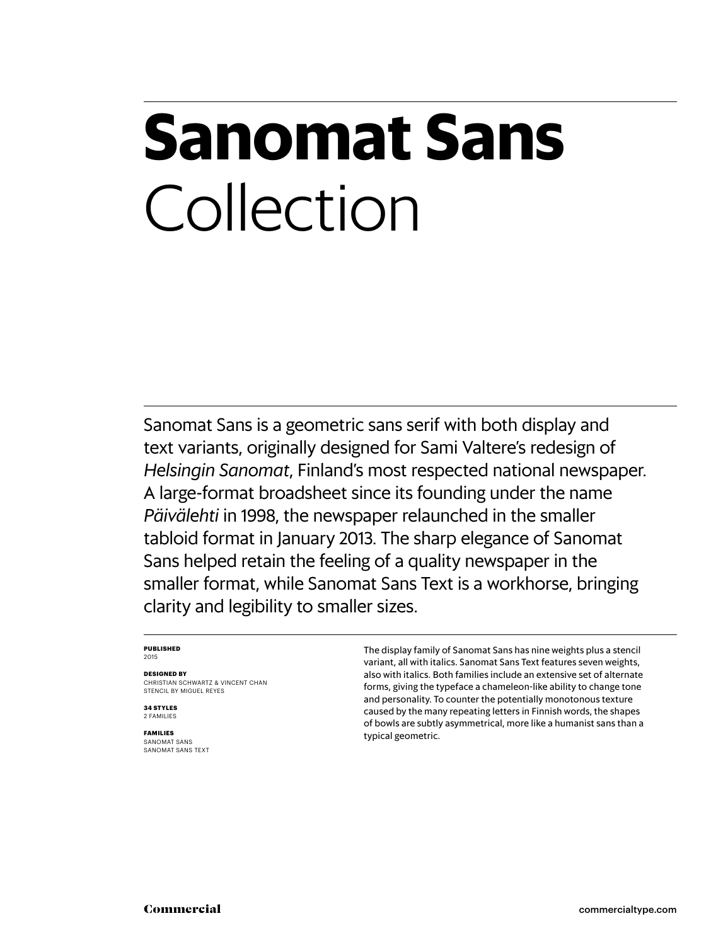# **Sanomat Sans** Collection

Sanomat Sans is a geometric sans serif with both display and text variants, originally designed for Sami Valtere's redesign of *Helsingin Sanomat*, Finland's most respected national newspaper. A large-format broadsheet since its founding under the name *Päivälehti* in 1998, the newspaper relaunched in the smaller tabloid format in January 2013. The sharp elegance of Sanomat Sans helped retain the feeling of a quality newspaper in the smaller format, while Sanomat Sans Text is a workhorse, bringing clarity and legibility to smaller sizes.

#### **Published** 2015

**Designed by**

CHRISTIAN SCHWARTZ & VINCENT CHAN stencil by miguel reyes

**34 styles** 2 families

**families** Sanomat sans sanomat sans text The display family of Sanomat Sans has nine weights plus a stencil variant, all with italics. Sanomat Sans Text features seven weights, also with italics. Both families include an extensive set of alternate forms, giving the typeface a chameleon-like ability to change tone and personality. To counter the potentially monotonous texture caused by the many repeating letters in Finnish words, the shapes of bowls are subtly asymmetrical, more like a humanist sans than a typical geometric.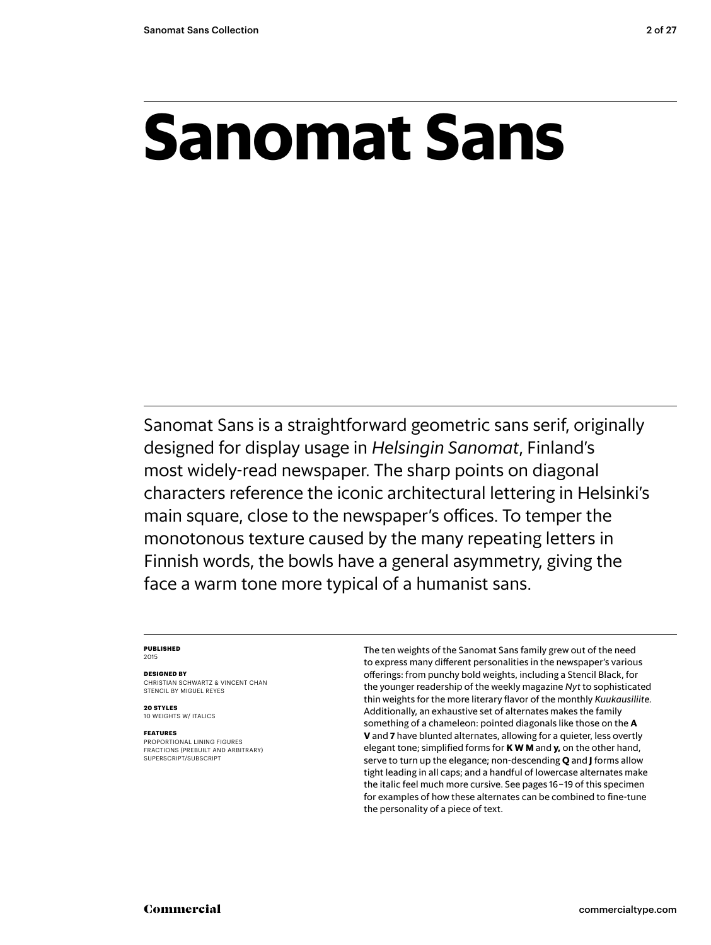Sanomat Sans is a straightforward geometric sans serif, originally designed for display usage in *Helsingin Sanomat*, Finland's most widely-read newspaper. The sharp points on diagonal characters reference the iconic architectural lettering in Helsinki's main square, close to the newspaper's offices. To temper the monotonous texture caused by the many repeating letters in Finnish words, the bowls have a general asymmetry, giving the face a warm tone more typical of a humanist sans.

#### **Published** 2015

#### **Designed by**

Christian schwartz & Vincent chan stencil by miguel reyes

**20 styles** 10 weights w/ ITALICS

#### **Features**

Proportional lining figures Fractions (prebuilt and arbitrary) SUPERSCRIPT/SUBSCRIPT

The ten weights of the Sanomat Sans family grew out of the need to express many different personalities in the newspaper's various offerings: from punchy bold weights, including a Stencil Black, for the younger readership of the weekly magazine *Nyt* to sophisticated thin weights for the more literary flavor of the monthly *Kuukausiliite.* Additionally, an exhaustive set of alternates makes the family something of a chameleon: pointed diagonals like those on the **A V** and **7** have blunted alternates, allowing for a quieter, less overtly elegant tone; simplified forms for **K W M** and **y,** on the other hand, serve to turn up the elegance; non-descending **Q** and **J** forms allow tight leading in all caps; and a handful of lowercase alternates make the italic feel much more cursive. See pages 16 – 19 of this specimen for examples of how these alternates can be combined to fine-tune the personality of a piece of text.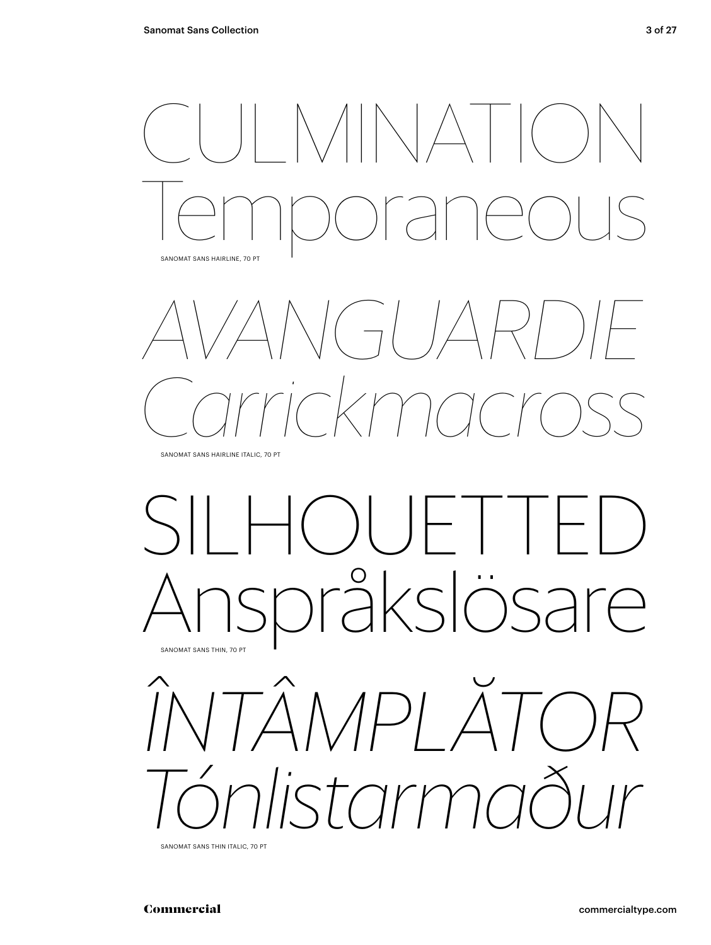



## silhouetted Anspråkslösare Sanomat Sans Thin, 70 Pt



Sanomat Sans Thin italic, 70 Pt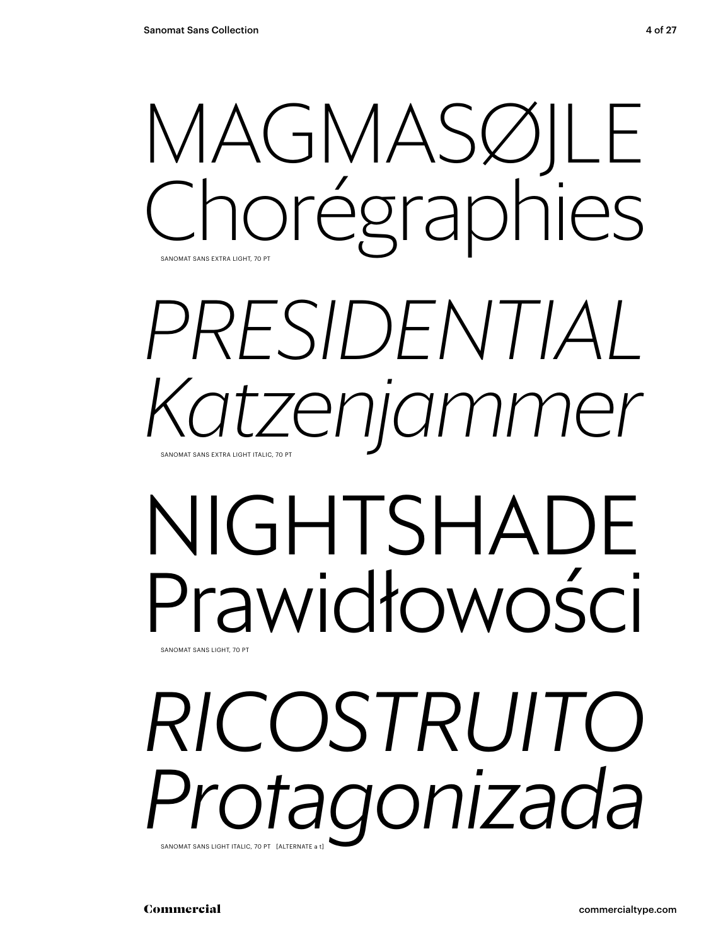MAGMASØJL Chorégraphies Sanomat Sans Extra Light, 70 Pt

## *presidential Katzenjammer* Sanomat Sans Extra Light italic, 70 Pt

## NIGHTSHADE Prawidłowości Sanomat Sans Light, 70 Pt

## *Ricostruito Protagonizada* Sanomat Sans Light italic, 70 Pt [alternate a t]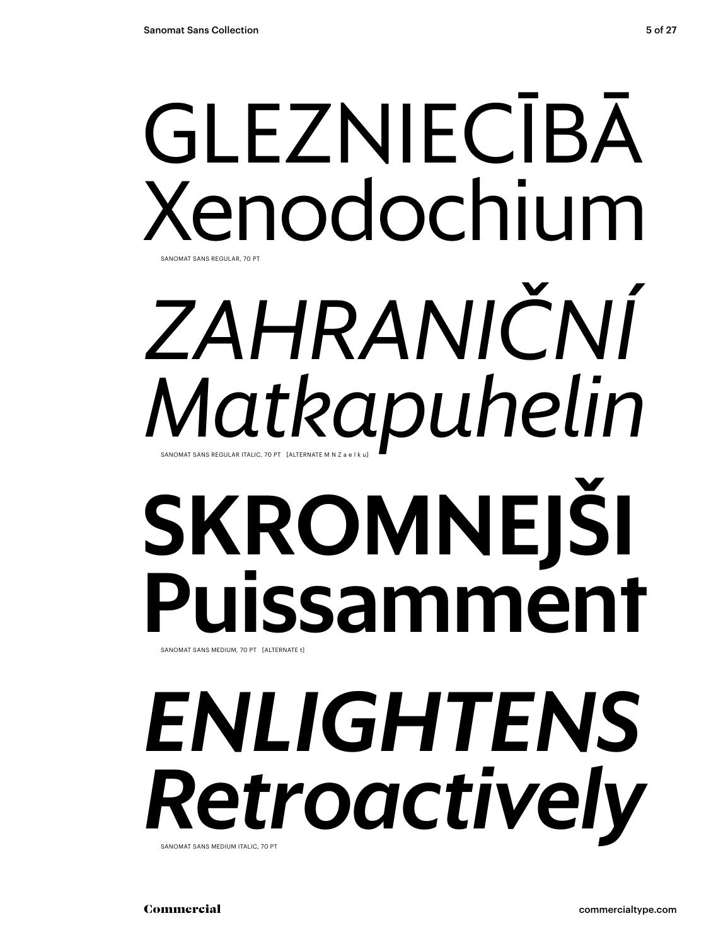# GLEZNIECĪBĀ Xenodochium Sanomat Sans Regular, 70 Pt

# SKROMNEJŠI Puissamment *Zahraniční Matkapuhelin* SANOMAT SANS REGULAR ITALIC, 70 PT [ALTERNATE M N Z a e l

SANOMAT SANS MEDIUM, 70 PT [ALTERNATE t]

## *enlightens Retroactively* Sanomat Sans Medium italic, 70 Pt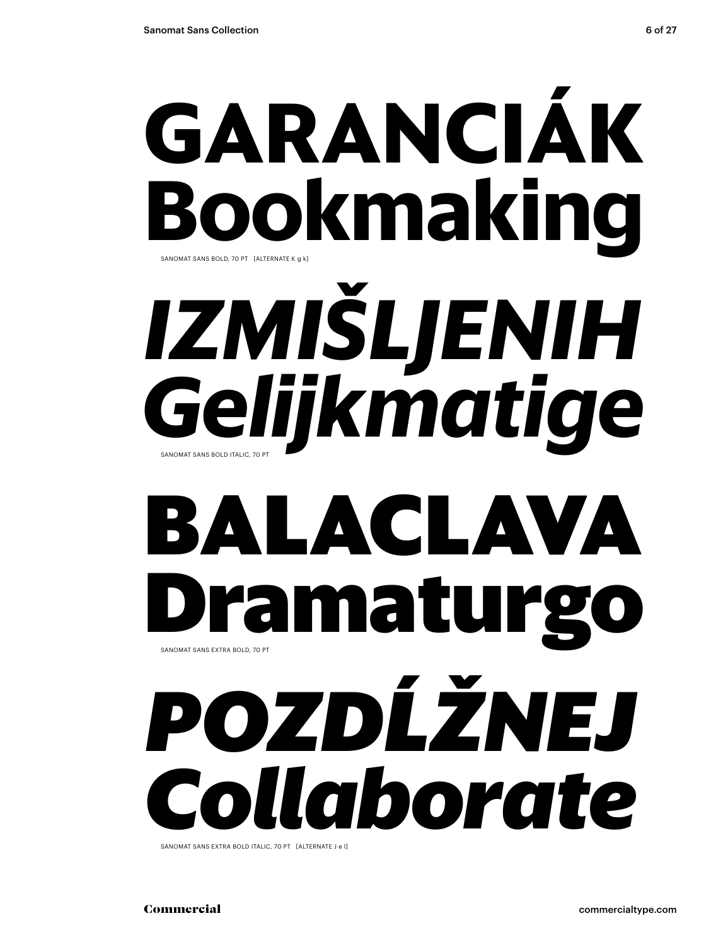# **Garanciák Bookmaking** *izmišljenih* Sanomat Sans bold, 70 Pt [alternate k g k]

## **balaclava Dramaturgo**  Sanomat Sans bold italic, 70 Pt SANOMAT SANS EXTRA BOLD, 70 PT

*Gelijkmatige*

# *pozdĺžnej Collaborate*

SANOMAT SANS EXTRA BOLD ITALIC, 70 PT [ALTERNATE J e l]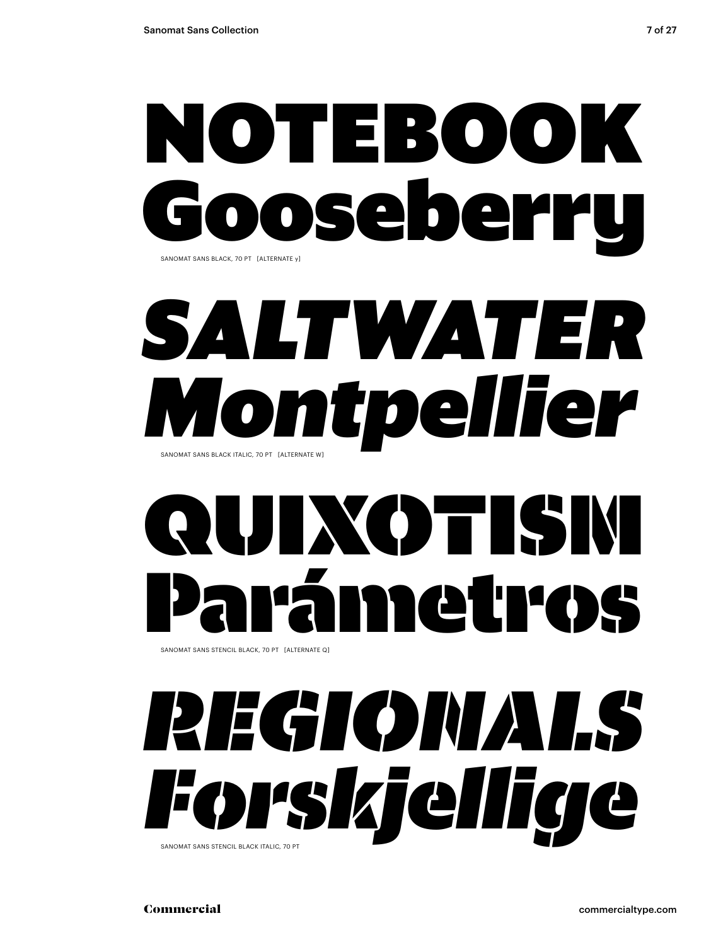

## *saltwater Montpellier* SANOMAT SANS BLACK ITALIC, 70 PT [ALTERNATE W]

# I XOTIS Parámetros

SANOMAT SANS STENCIL BLACK, 70 PT [ALTERNATE Q]

## *regionals Forskjellige* Sanomat Sans stencil black italic, 70 Pt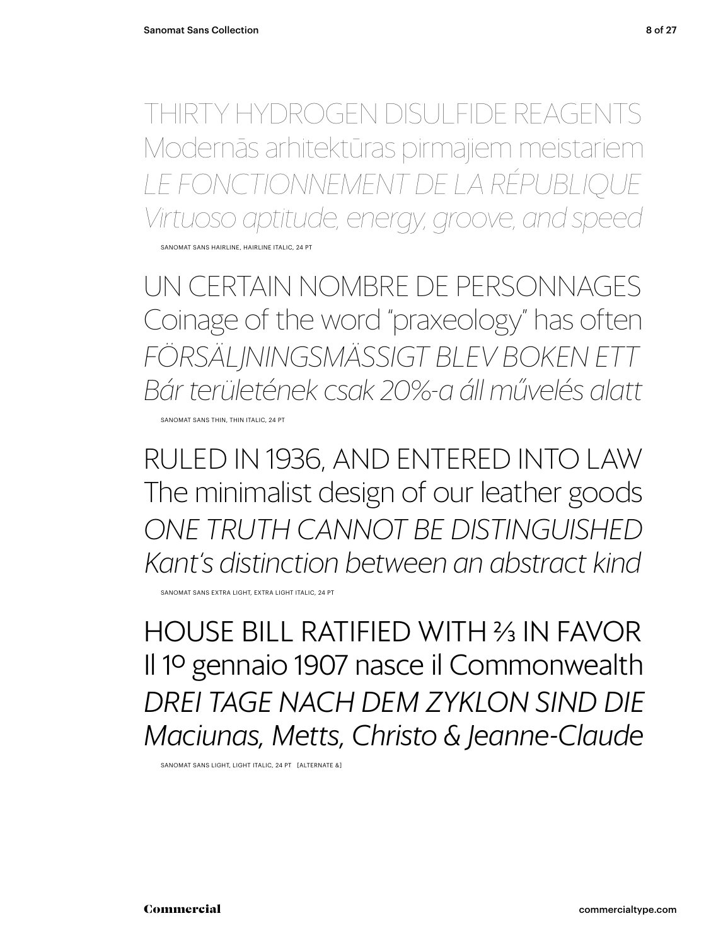thirty hydrogen disulfide reagents Modernās arhitektūras pirmajiem meistariem *le fonctionnement de la République Virtuoso aptitude, energy, groove, and speed*

SANOMAT SANS HAIRLINE, HAIRLINE ITALIC, 24 PT

Un certain nombre de personnages Coinage of the word "praxeology" has often *Försäljningsmässigt blev boken ett Bár területének csak 20%-a áll művelés alatt*

SANOMAT SANS THIN, THIN ITALIC, 24 PT

Ruled in 1936, and entered into law The minimalist design of our leather goods *one Truth cannot be distinguished Kant's distinction between an abstract kind*

SANOMAT SANS EXTRA LIGHT, EXTRA LIGHT ITALIC, 24 PT

house bill ratified with 2/3 in favor Il 1º gennaio 1907 nasce il Commonwealth *Drei Tage nach dem Zyklon sind die Maciunas, Metts, Christo & Jeanne-Claude*

Sanomat Sans Light, Light italic, 24 Pt [alternate &]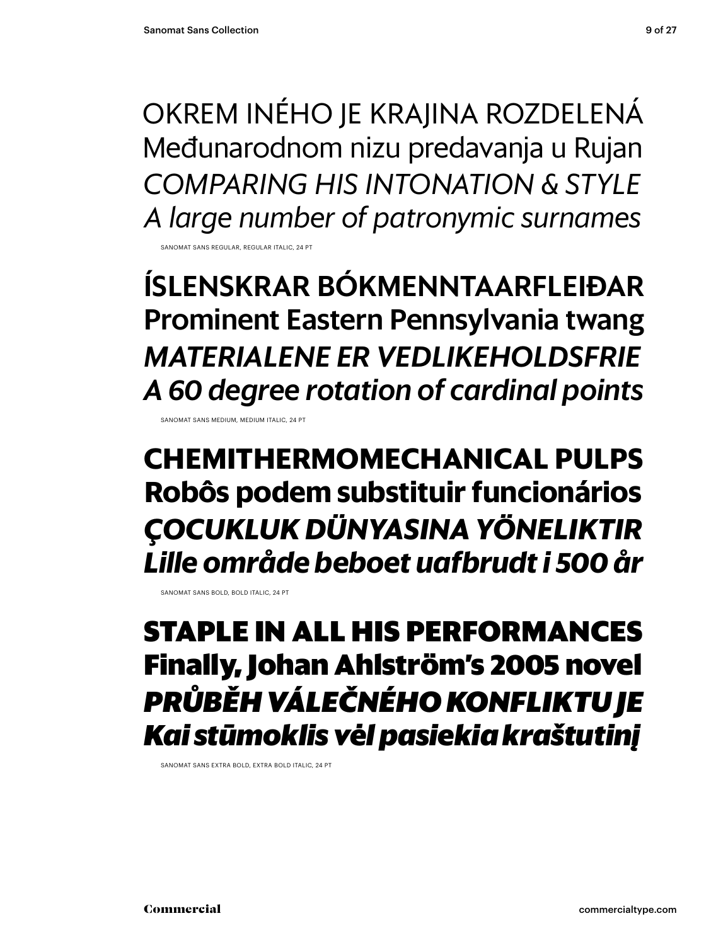Okrem iného je krajina rozdelená Međunarodnom nizu predavanja u Rujan *comparing his intonation & style A large number of patronymic surnames*

Sanomat Sans Regular, Regular italic, 24 Pt

íslenskrar bókmenntaarfleiðar Prominent Eastern Pennsylvania twang *materialene er vedlikeholdsfrie A 60 degree rotation of cardinal points*

Sanomat Sans Medium, Medium italic, 24 Pt

**Chemithermomechanical pulps Robôs podem substituir funcionários** *çocukluk dünyasina yöneliktir Lille område beboet uafbrudt i 500 år*

SANOMAT SANS BOLD, BOLD ITALIC, 24 PT

**staple in all his performances Finally, Johan Ahlström's 2005 novel** *Průběh válečného konfliktu je Kai stūmoklis vėl pasiekia kraštutinį* 

Sanomat Sans extra bold, extra bold italic, 24 Pt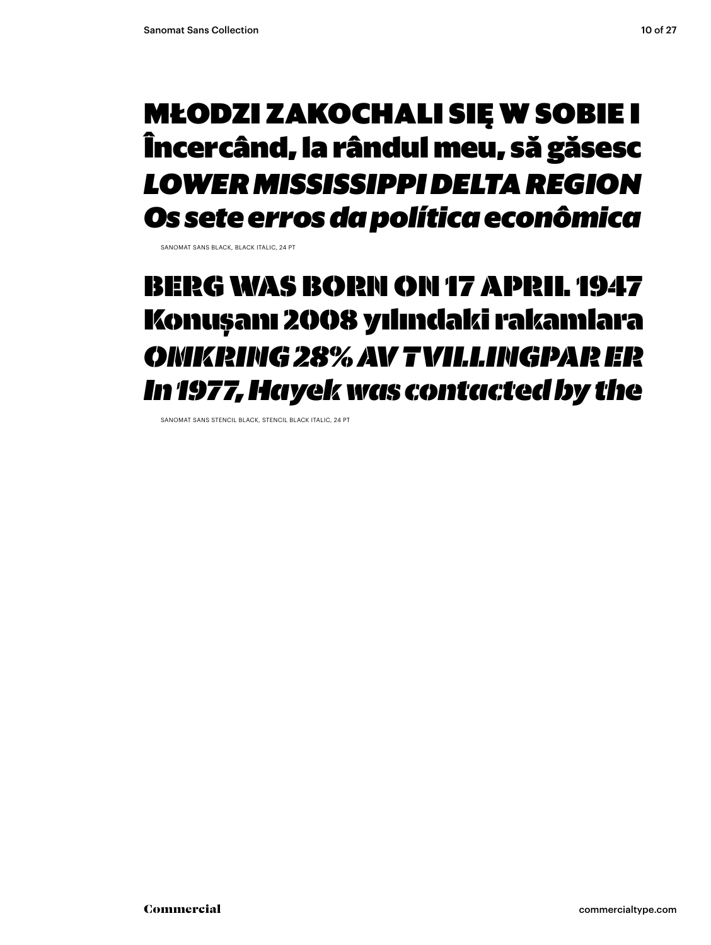### Młodzi zakochali się w sobie i Încercând, la rândul meu, să găsesc *lower Mississippi delta region Os sete erros da política econômica*

Sanomat Sans black, black italic, 24 Pt

### berg was born on 17 april 1947 Konuşanı 2008 yılındaki rakamlara *Omkring 28% av tvillingpar er In 1977, Hayek was contacted by the*

Sanomat Sans stencil black, stencil black italic, 24 Pt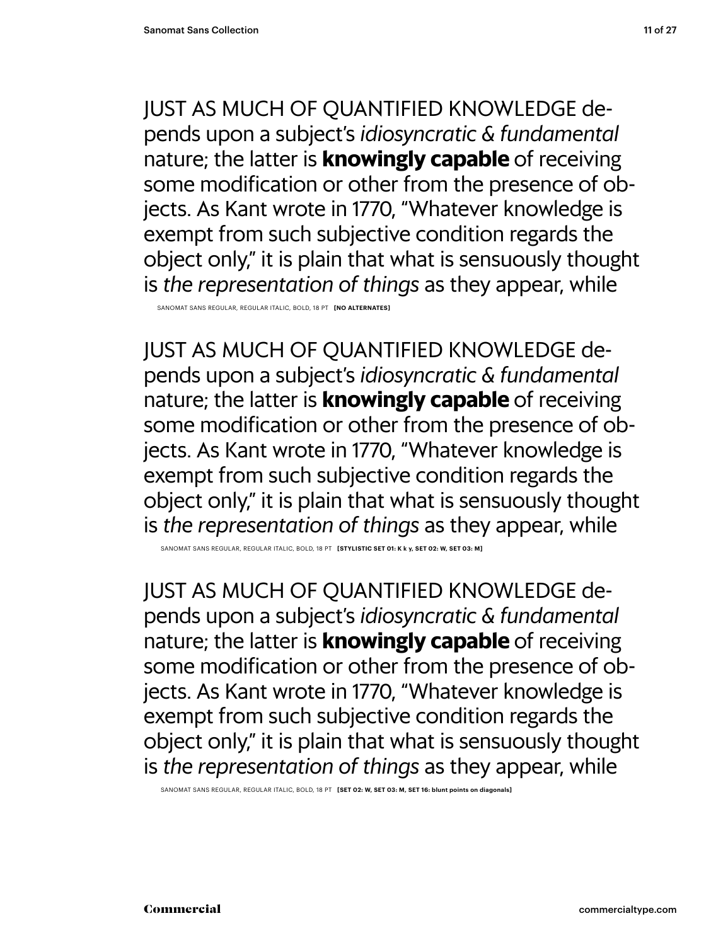Sanomat Sans regular, regular Italic, bold, 18 PT **[no alternates]**

just as much of quantified knowledge depends upon a subject's *idiosyncratic & fundamental* nature; the latter is **knowingly capable** of receiving some modification or other from the presence of objects. As Kant wrote in 1770, "Whatever knowledge is exempt from such subjective condition regards the object only," it is plain that what is sensuously thought is *the representation of things* as they appear, while

SANOMAT SANS REGULAR, REGULAR ITALIC, BOLD, 18 PT **[STYLISTIC SET 01: K k y, SET 02: W, SET 03: M]** 

just as much of quantified knowledge depends upon a subject's *idiosyncratic & fundamental* nature; the latter is **knowingly capable** of receiving some modification or other from the presence of objects. As Kant wrote in 1770, "Whatever knowledge is exempt from such subjective condition regards the object only," it is plain that what is sensuously thought is *the representation of things* as they appear, while

Sanomat Sans regular, regular Italic, bold, 18 PT **[Set 02: W, Set 03: M, Set 16: blunt points on diagonals]**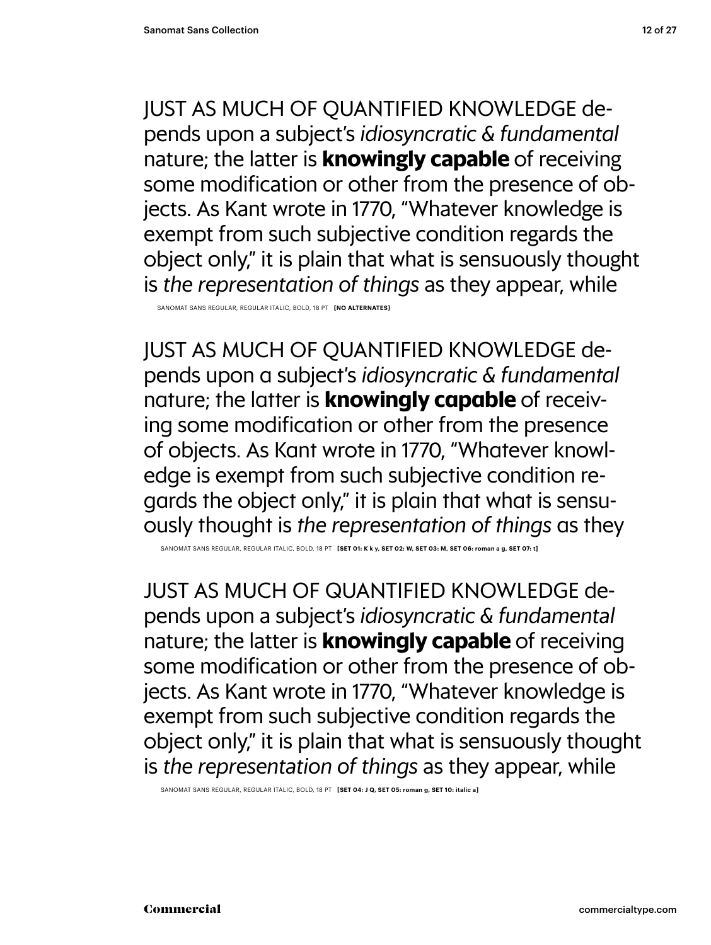Sanomat Sans regular, regular Italic, bold, 18 PT **[no alternates]**

just as much of quantified knowledge depends upon a subject's *idiosyncratic & fundamental* nature; the latter is **knowingly capable** of receiving some modification or other from the presence of objects. As Kant wrote in 1770, "Whatever knowledge is exempt from such subjective condition regards the object only," it is plain that what is sensuously thought is *the representation of things* as they

Sanomat Sans regular, regular Italic, bold, 18 PT **[Set 01: k k y, Set 02: w, Set 03: m, Set 06: roman a g, Set 07: t]**

just as much of quantified knowledge depends upon a subject's *idiosyncratic & fundamental* nature; the latter is **knowingly capable** of receiving some modification or other from the presence of objects. As Kant wrote in 1770, "Whatever knowledge is exempt from such subjective condition regards the object only," it is plain that what is sensuously thought is *the representation of things* as they appear, while

Sanomat Sans regular, regular Italic, bold, 18 PT **[Set 04: j q, Set 05: roman g, Set 10: italic a]**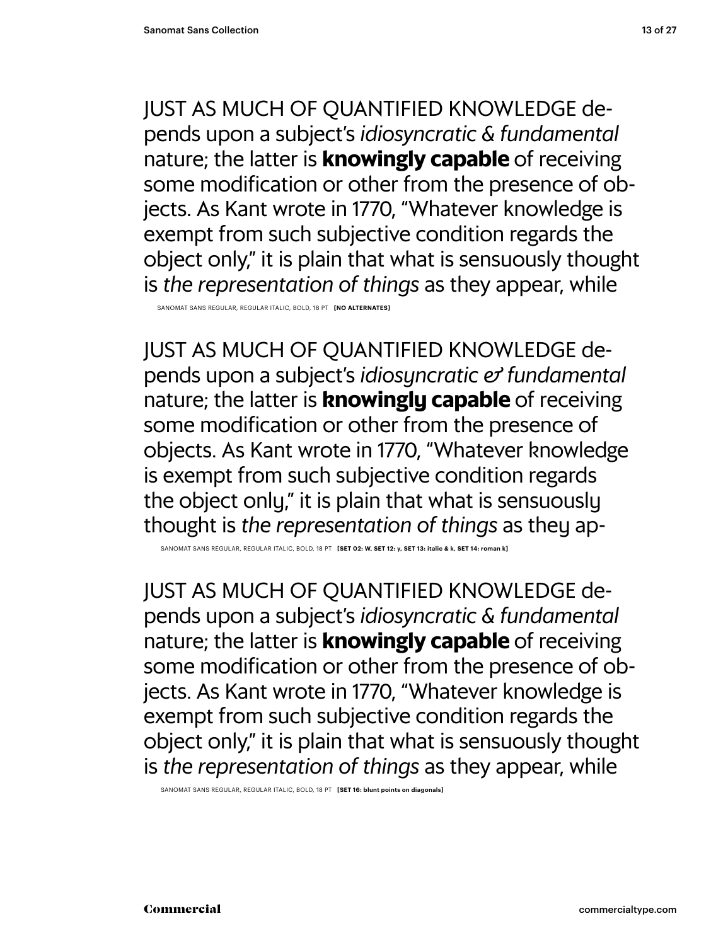Sanomat Sans regular, regular Italic, bold, 18 PT **[no alternates]**

just as much of quantified knowledge depends upon a subject's *idiosyncratic & fundamental* nature; the latter is **knowingly capable** of receiving some modification or other from the presence of objects. As Kant wrote in 1770, "Whatever knowledge is exempt from such subjective condition regards the object only," it is plain that what is sensuously thought is *the representation of things* as they ap-

Sanomat Sans regular, regular Italic, bold, 18 PT **[Set 02: w, Set 12: y, Set 13: italic & k, Set 14: roman k]**

just as much of quantified knowledge depends upon a subject's *idiosyncratic & fundamental* nature; the latter is **knowingly capable** of receiving some modification or other from the presence of objects. As Kant wrote in 1770, "Whatever knowledge is exempt from such subjective condition regards the object only," it is plain that what is sensuously thought is *the representation of things* as they appear, while

Sanomat Sans regular, regular Italic, bold, 18 PT **[Set 16: blunt points on diagonals]**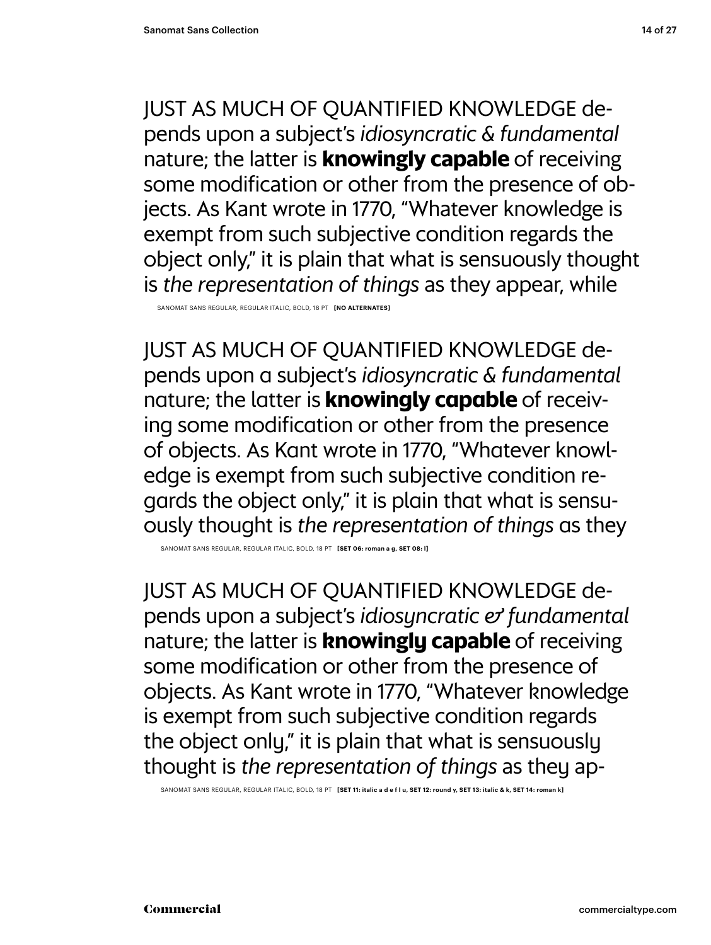Sanomat Sans regular, regular Italic, bold, 18 PT **[no alternates]**

just as much of quantified knowledge depends upon a subject's *idiosyncratic & fundamental* nature; the latter is **knowingly capable** of receiving some modification or other from the presence of objects. As Kant wrote in 1770, "Whatever knowledge is exempt from such subjective condition regards the object only," it is plain that what is sensuously thought is *the representation of things* as they

Sanomat Sans regular, regular Italic, bold, 18 PT **[Set 06: roman a g, Set 08: l]**

just as much of quantified knowledge depends upon a subject's *idiosyncratic & fundamental* nature; the latter is **knowingly capable** of receiving some modification or other from the presence of objects. As Kant wrote in 1770, "Whatever knowledge is exempt from such subjective condition regards the object only," it is plain that what is sensuously thought is *the representation of things* as they ap-

Sanomat Sans regular, regular Italic, bold, 18 PT **[Set 11: italic a d e f l u, Set 12: round y, Set 13: italic & k, Set 14: roman k]**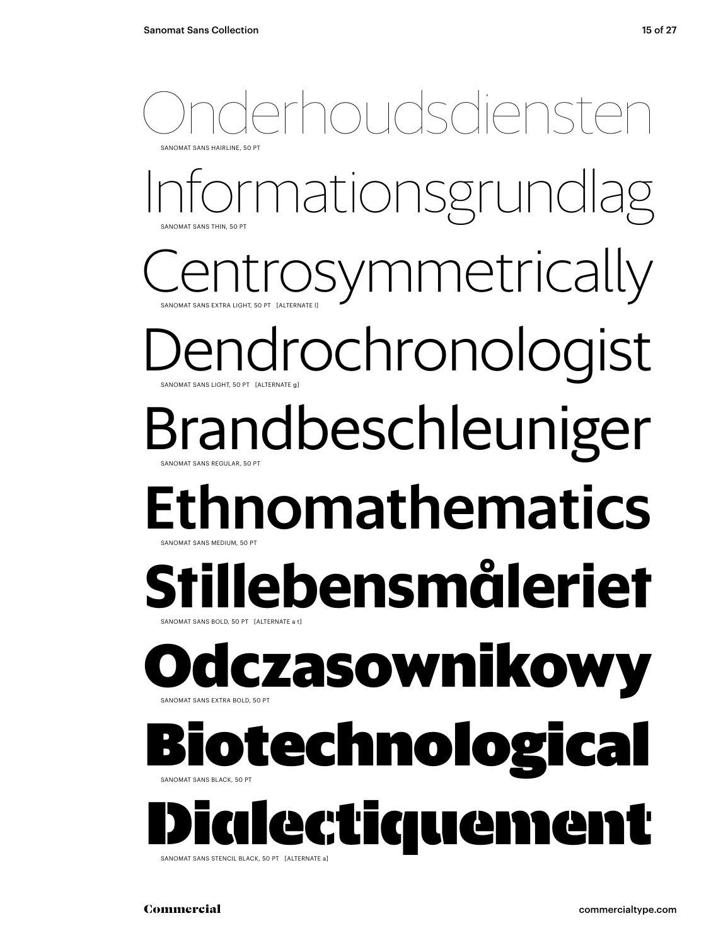### choudsdiens Sanomat Sans Hairline, 50 Pt

mationsgrundlag Sanomat Sans Thin, 50 Pt

Sanomat Sans Extra Light, 50 Pt [alternate l] osymmetrically

endrochronologist SANOMAT SANS LIGHT, 50 PT [ALTERNATE]

## Brandbeschleuniger

Sanomat Sans Regular, 50 Pt

### Ethnomathematics Sanomat Sans Medium, 50 Pt

### **Stillebensmåleriet** Sanomat Sans bold, 50 Pt [alternate a t]

#### **O**SANOMAT SANS EXTRA BOLD, 50 PT **dczasownikowy**

### technologi SANOMAT SANS BLACK, 50 PT

ectiqueme SANOMAT SANS STENCIL BLACK, 50 PT. LALTERNATE a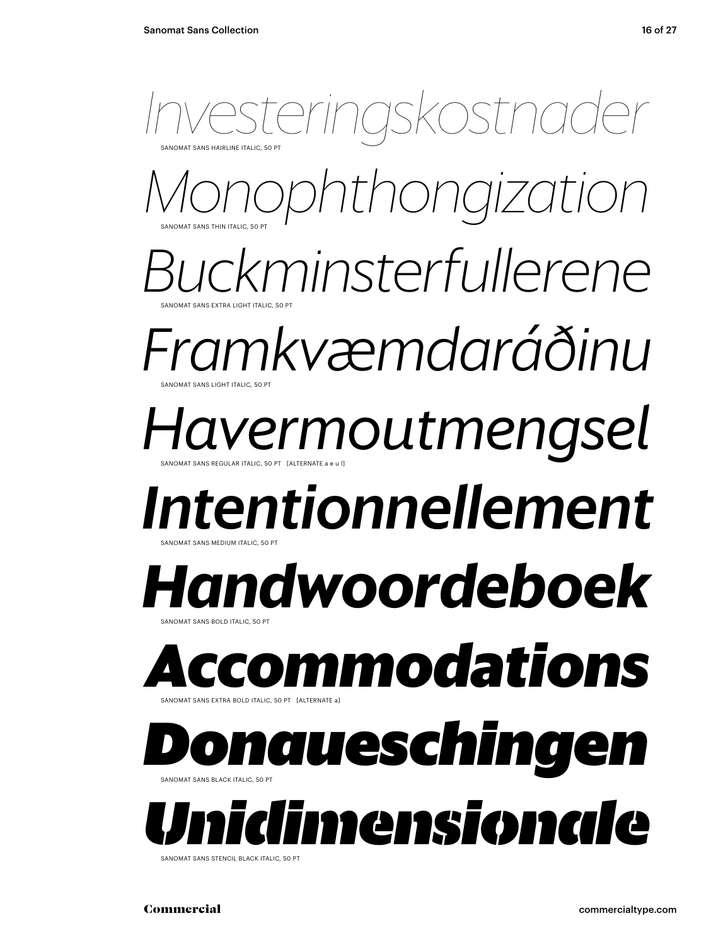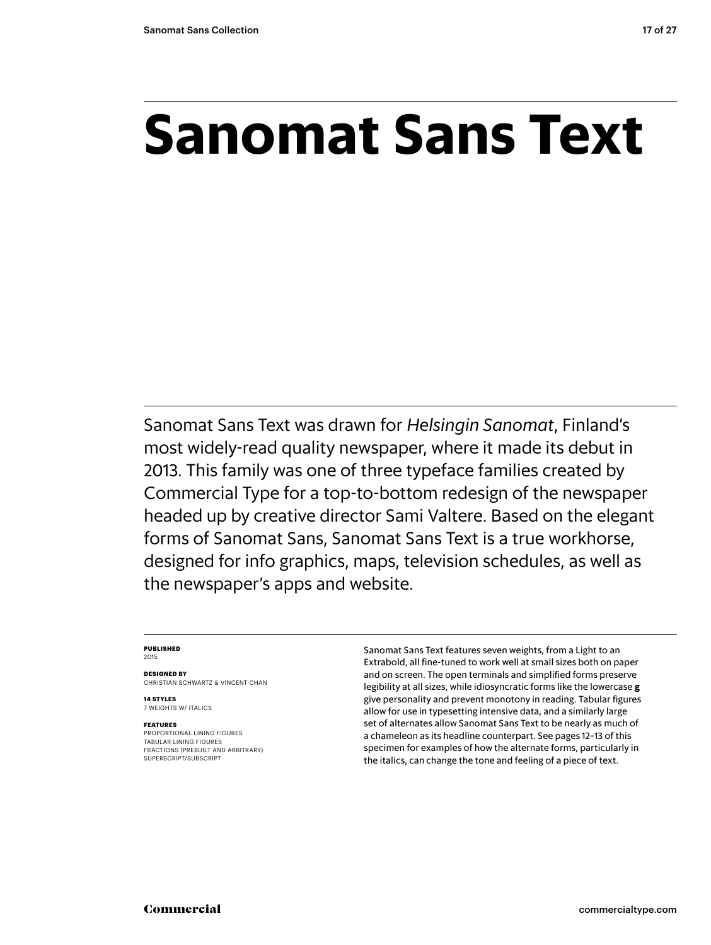## **Sanomat Sans Text**

Sanomat Sans Text was drawn for *Helsingin Sanomat*, Finland's most widely-read quality newspaper, where it made its debut in 2013. This family was one of three typeface families created by Commercial Type for a top-to-bottom redesign of the newspaper headed up by creative director Sami Valtere. Based on the elegant forms of Sanomat Sans, Sanomat Sans Text is a true workhorse, designed for info graphics, maps, television schedules, as well as the newspaper's apps and website.

#### **Published** 2015

**Designed by** Christian schwartz & Vincent chan

**14 styles** 7 weights w/ ITALICS

#### **Features**

Proportional lining figures Tabular lining figures Fractions (prebuilt and arbitrary) SUPERSCRIPT/SUBSCRIPT

Sanomat Sans Text features seven weights, from a Light to an Extrabold, all fine-tuned to work well at small sizes both on paper and on screen. The open terminals and simplified forms preserve legibility at all sizes, while idiosyncratic forms like the lowercase **g** give personality and prevent monotony in reading. Tabular figures allow for use in typesetting intensive data, and a similarly large set of alternates allow Sanomat Sans Text to be nearly as much of a chameleon as its headline counterpart. See pages 12–13 of this specimen for examples of how the alternate forms, particularly in the italics, can change the tone and feeling of a piece of text.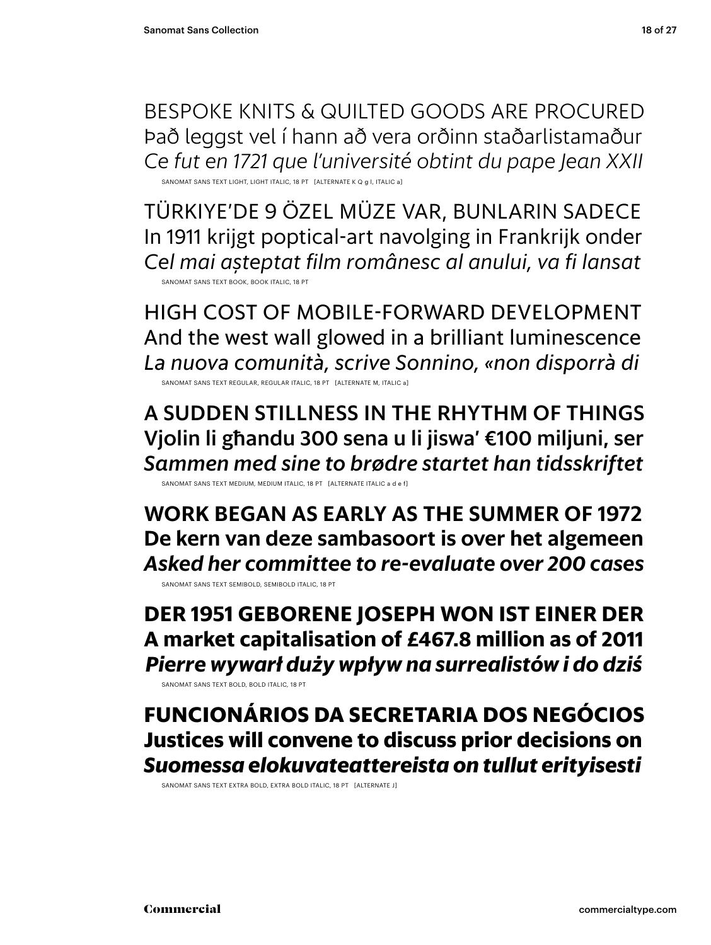bespoke knits & quilted goods are procured Það leggst vel í hann að vera orðinn staðarlistamaður *Ce fut en 1721 que l'université obtint du pape Jean XXII* SANOMAT SANS TEXT LIGHT, LIGHT ITALIC, 18 PT [ALTERNATE K Q g l, ITALIC a]

Türkiye'de 9 özel müze var, bunlarin sadece In 1911 krijgt poptical-art navolging in Frankrijk onder *Cel mai aşteptat film românesc al anului, va fi lansat* Sanomat Sans TEXT book, book Italic, 18 pt

high cost of mobile-forward development And the west wall glowed in a brilliant luminescence *La nuova comunità, scrive Sonnino, «non disporrà di*

SANOMAT SANS TEXT REGULAR, REGULAR ITALIC, 18 PT [ALTERNATE M, ITALIC a]

A sudden stillness in the rhythm of things Vjolin li għandu 300 sena u li jiswa' €100 miljuni, ser *Sammen med sine to brødre startet han tidsskriftet*

SANOMAT SANS TEXT MEDIUM, MEDIUM ITALIC, 18 PT [ALTERNATE ITALIC a d e f]

**Work began as early as the summer of 1972 De kern van deze sambasoort is over het algemeen** *Asked her committee to re-evaluate over 200 cases* Sanomat Sans TEXT semibold, semibold Italic, 18 pt

**Der 1951 geborene Joseph won ist einer der A market capitalisation of £467.8 million as of 2011** *Pierre wywarł duży wpływ na surrealistów i do dziś*

Sanomat Sans TEXT bold, bold Italic, 18 pt

**Funcionários da Secretaria dos Negócios Justices will convene to discuss prior decisions on** *Suomessa elokuvateattereista on tullut erityisesti*

SANOMAT SANS TEXT EXTRA BOLD, EXTRA BOLD ITALIC, 18 PT [ALTERNATE J]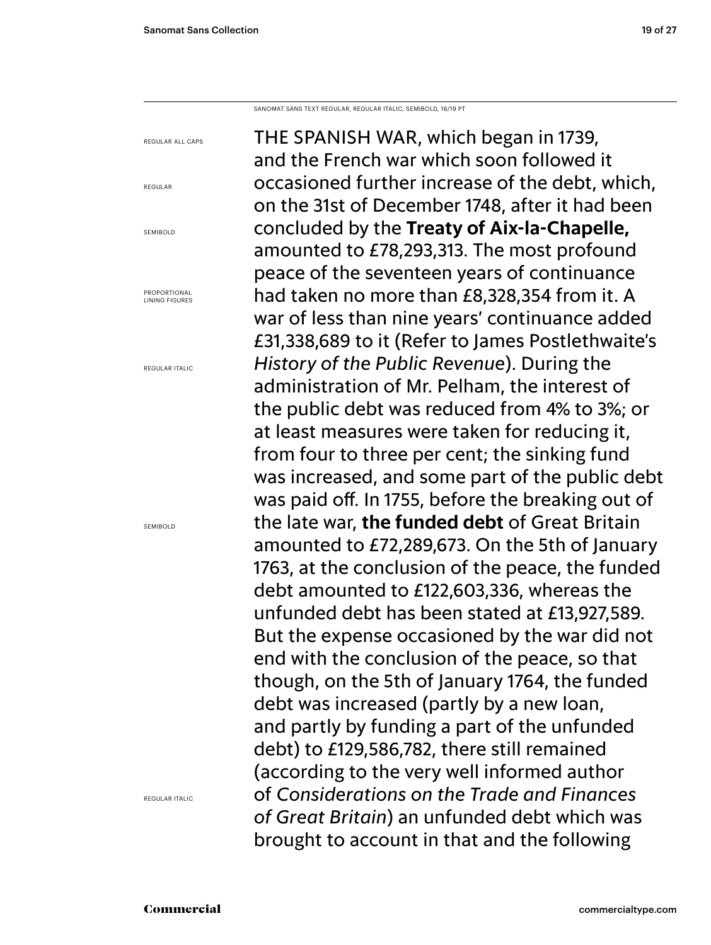Sanomat Sans Text regular, regular italic, semibold, 16/19 PT

regular all caps

regular

SEMIROLD

Proportional Lining figures

regular Italic

semibold

regular Italic

The Spanish War, which began in 1739, and the French war which soon followed it occasioned further increase of the debt, which, on the 31st of December 1748, after it had been concluded by the **Treaty of Aix-la-Chapelle,** amounted to £78,293,313. The most profound peace of the seventeen years of continuance had taken no more than £8,328,354 from it. A war of less than nine years' continuance added £31,338,689 to it (Refer to James Postlethwaite's *History of the Public Revenue*). During the administration of Mr. Pelham, the interest of the public debt was reduced from 4% to 3%; or at least measures were taken for reducing it, from four to three per cent; the sinking fund was increased, and some part of the public debt was paid off. In 1755, before the breaking out of the late war, **the funded debt** of Great Britain amounted to £72,289,673. On the 5th of January 1763, at the conclusion of the peace, the funded debt amounted to £122,603,336, whereas the unfunded debt has been stated at £13,927,589. But the expense occasioned by the war did not end with the conclusion of the peace, so that though, on the 5th of January 1764, the funded debt was increased (partly by a new loan, and partly by funding a part of the unfunded debt) to £129,586,782, there still remained (according to the very well informed author of *Considerations on the Trade and Finances of Great Britain*) an unfunded debt which was brought to account in that and the following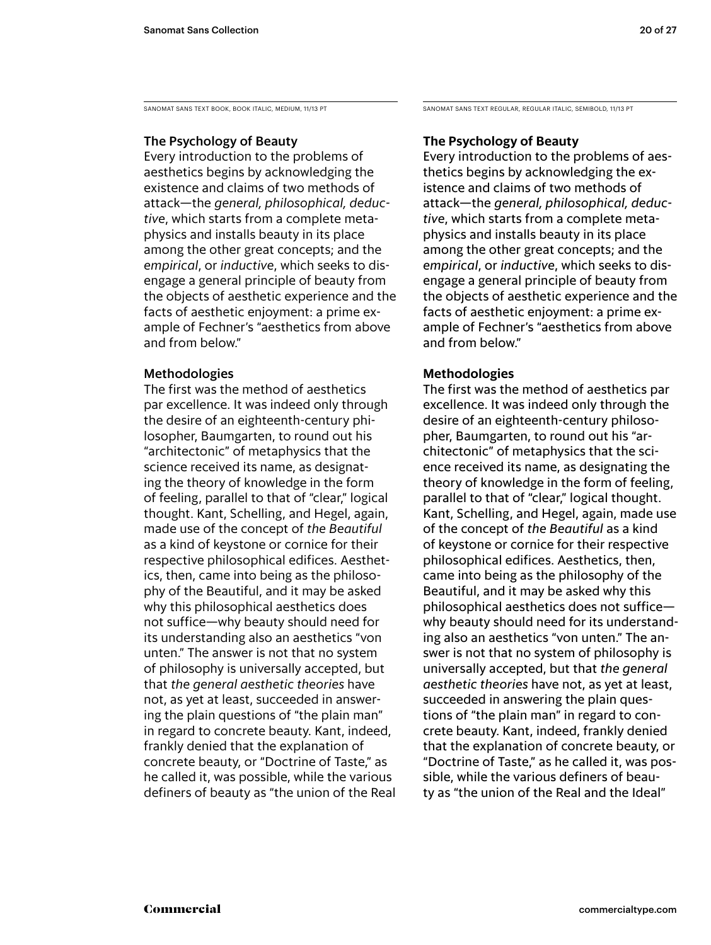Sanomat Sans Text Book, Book Italic, medium, 11/13 PT

#### The Psychology of Beauty

Every introduction to the problems of aesthetics begins by acknowledging the existence and claims of two methods of attack—the *general, philosophical, deductive*, which starts from a complete metaphysics and installs beauty in its place among the other great concepts; and the *empirical*, or *inductive*, which seeks to disengage a general principle of beauty from the objects of aesthetic experience and the facts of aesthetic enjoyment: a prime example of Fechner's "aesthetics from above and from below."

#### Methodologies

The first was the method of aesthetics par excellence. It was indeed only through the desire of an eighteenth-century philosopher, Baumgarten, to round out his "architectonic" of metaphysics that the science received its name, as designating the theory of knowledge in the form of feeling, parallel to that of "clear," logical thought. Kant, Schelling, and Hegel, again, made use of the concept of *the Beautiful* as a kind of keystone or cornice for their respective philosophical edifices. Aesthetics, then, came into being as the philosophy of the Beautiful, and it may be asked why this philosophical aesthetics does not suffice—why beauty should need for its understanding also an aesthetics "von unten." The answer is not that no system of philosophy is universally accepted, but that *the general aesthetic theories* have not, as yet at least, succeeded in answering the plain questions of "the plain man" in regard to concrete beauty. Kant, indeed, frankly denied that the explanation of concrete beauty, or "Doctrine of Taste," as he called it, was possible, while the various definers of beauty as "the union of the Real Sanomat Sans Text Regular, regular Italic, semiBOLD, 11/13 PT

#### **The Psychology of Beauty**

Every introduction to the problems of aesthetics begins by acknowledging the existence and claims of two methods of attack—the *general, philosophical, deductive*, which starts from a complete metaphysics and installs beauty in its place among the other great concepts; and the *empirical*, or *inductive*, which seeks to disengage a general principle of beauty from the objects of aesthetic experience and the facts of aesthetic enjoyment: a prime example of Fechner's "aesthetics from above and from below."

#### **Methodologies**

The first was the method of aesthetics par excellence. It was indeed only through the desire of an eighteenth-century philosopher, Baumgarten, to round out his "architectonic" of metaphysics that the science received its name, as designating the theory of knowledge in the form of feeling, parallel to that of "clear," logical thought. Kant, Schelling, and Hegel, again, made use of the concept of *the Beautiful* as a kind of keystone or cornice for their respective philosophical edifices. Aesthetics, then, came into being as the philosophy of the Beautiful, and it may be asked why this philosophical aesthetics does not suffice why beauty should need for its understanding also an aesthetics "von unten." The answer is not that no system of philosophy is universally accepted, but that *the general aesthetic theories* have not, as yet at least, succeeded in answering the plain questions of "the plain man" in regard to concrete beauty. Kant, indeed, frankly denied that the explanation of concrete beauty, or "Doctrine of Taste," as he called it, was possible, while the various definers of beauty as "the union of the Real and the Ideal"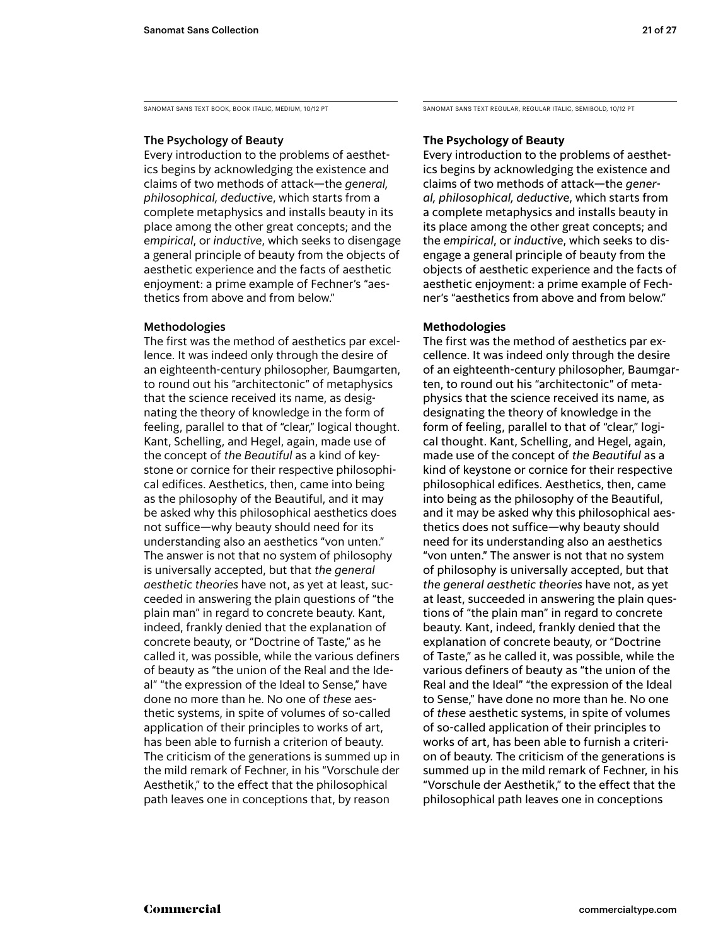Sanomat Sans Text Book, Book Italic, medium, 10/12 PT

#### The Psychology of Beauty

Every introduction to the problems of aesthetics begins by acknowledging the existence and claims of two methods of attack—the *general, philosophical, deductive*, which starts from a complete metaphysics and installs beauty in its place among the other great concepts; and the *empirical*, or *inductive*, which seeks to disengage a general principle of beauty from the objects of aesthetic experience and the facts of aesthetic enjoyment: a prime example of Fechner's "aesthetics from above and from below."

#### Methodologies

The first was the method of aesthetics par excellence. It was indeed only through the desire of an eighteenth-century philosopher, Baumgarten, to round out his "architectonic" of metaphysics that the science received its name, as designating the theory of knowledge in the form of feeling, parallel to that of "clear," logical thought. Kant, Schelling, and Hegel, again, made use of the concept of *the Beautiful* as a kind of keystone or cornice for their respective philosophical edifices. Aesthetics, then, came into being as the philosophy of the Beautiful, and it may be asked why this philosophical aesthetics does not suffice—why beauty should need for its understanding also an aesthetics "von unten." The answer is not that no system of philosophy is universally accepted, but that *the general aesthetic theories* have not, as yet at least, succeeded in answering the plain questions of "the plain man" in regard to concrete beauty. Kant, indeed, frankly denied that the explanation of concrete beauty, or "Doctrine of Taste," as he called it, was possible, while the various definers of beauty as "the union of the Real and the Ideal" "the expression of the Ideal to Sense," have done no more than he. No one of *these* aesthetic systems, in spite of volumes of so-called application of their principles to works of art, has been able to furnish a criterion of beauty. The criticism of the generations is summed up in the mild remark of Fechner, in his "Vorschule der Aesthetik," to the effect that the philosophical path leaves one in conceptions that, by reason

Sanomat Sans Text Regular, regular Italic, semiBOLD, 10/12 PT

#### **The Psychology of Beauty**

Every introduction to the problems of aesthetics begins by acknowledging the existence and claims of two methods of attack—the *general, philosophical, deductive*, which starts from a complete metaphysics and installs beauty in its place among the other great concepts; and the *empirical*, or *inductive*, which seeks to disengage a general principle of beauty from the objects of aesthetic experience and the facts of aesthetic enjoyment: a prime example of Fechner's "aesthetics from above and from below."

#### **Methodologies**

The first was the method of aesthetics par excellence. It was indeed only through the desire of an eighteenth-century philosopher, Baumgarten, to round out his "architectonic" of metaphysics that the science received its name, as designating the theory of knowledge in the form of feeling, parallel to that of "clear," logical thought. Kant, Schelling, and Hegel, again, made use of the concept of *the Beautiful* as a kind of keystone or cornice for their respective philosophical edifices. Aesthetics, then, came into being as the philosophy of the Beautiful, and it may be asked why this philosophical aesthetics does not suffice—why beauty should need for its understanding also an aesthetics "von unten." The answer is not that no system of philosophy is universally accepted, but that *the general aesthetic theories* have not, as yet at least, succeeded in answering the plain questions of "the plain man" in regard to concrete beauty. Kant, indeed, frankly denied that the explanation of concrete beauty, or "Doctrine of Taste," as he called it, was possible, while the various definers of beauty as "the union of the Real and the Ideal" "the expression of the Ideal to Sense," have done no more than he. No one of *these* aesthetic systems, in spite of volumes of so-called application of their principles to works of art, has been able to furnish a criterion of beauty. The criticism of the generations is summed up in the mild remark of Fechner, in his "Vorschule der Aesthetik," to the effect that the philosophical path leaves one in conceptions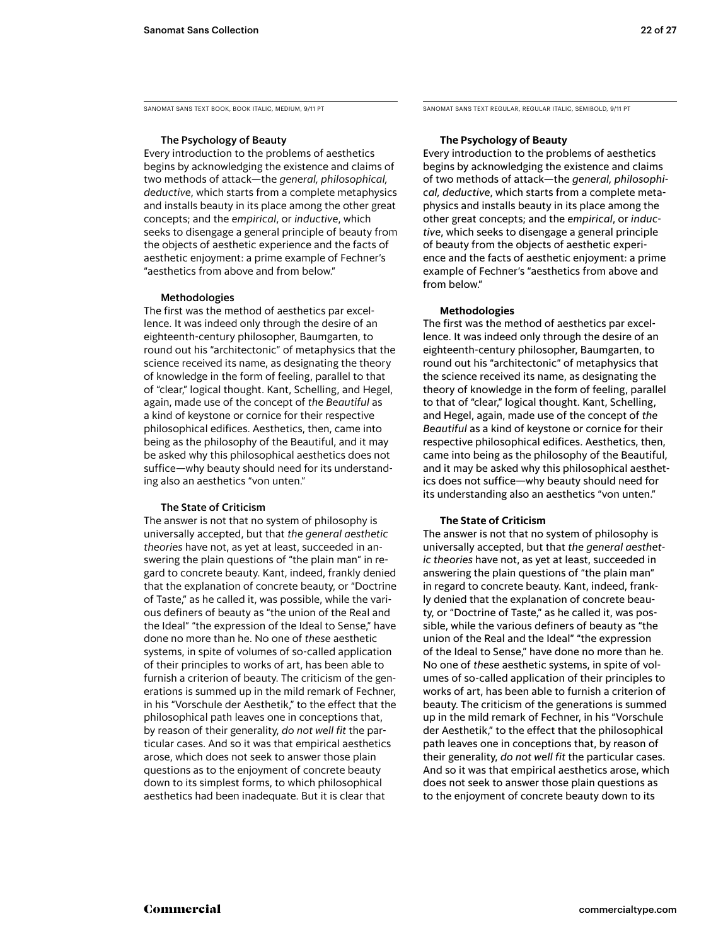Sanomat Sans Text Book, Book Italic, medium, 9/11 PT

#### The Psychology of Beauty

Every introduction to the problems of aesthetics begins by acknowledging the existence and claims of two methods of attack—the *general, philosophical, deductive*, which starts from a complete metaphysics and installs beauty in its place among the other great concepts; and the *empirical*, or *inductive*, which seeks to disengage a general principle of beauty from the objects of aesthetic experience and the facts of aesthetic enjoyment: a prime example of Fechner's "aesthetics from above and from below."

#### Methodologies

The first was the method of aesthetics par excellence. It was indeed only through the desire of an eighteenth-century philosopher, Baumgarten, to round out his "architectonic" of metaphysics that the science received its name, as designating the theory of knowledge in the form of feeling, parallel to that of "clear," logical thought. Kant, Schelling, and Hegel, again, made use of the concept of *the Beautiful* as a kind of keystone or cornice for their respective philosophical edifices. Aesthetics, then, came into being as the philosophy of the Beautiful, and it may be asked why this philosophical aesthetics does not suffice—why beauty should need for its understanding also an aesthetics "von unten."

#### The State of Criticism

The answer is not that no system of philosophy is universally accepted, but that *the general aesthetic theories* have not, as yet at least, succeeded in answering the plain questions of "the plain man" in regard to concrete beauty. Kant, indeed, frankly denied that the explanation of concrete beauty, or "Doctrine of Taste," as he called it, was possible, while the various definers of beauty as "the union of the Real and the Ideal" "the expression of the Ideal to Sense," have done no more than he. No one of *these* aesthetic systems, in spite of volumes of so-called application of their principles to works of art, has been able to furnish a criterion of beauty. The criticism of the generations is summed up in the mild remark of Fechner, in his "Vorschule der Aesthetik," to the effect that the philosophical path leaves one in conceptions that, by reason of their generality, *do not well fit* the particular cases. And so it was that empirical aesthetics arose, which does not seek to answer those plain questions as to the enjoyment of concrete beauty down to its simplest forms, to which philosophical aesthetics had been inadequate. But it is clear that

Sanomat Sans Text Regular, regular Italic, semiBOLD, 9/11 PT

#### **The Psychology of Beauty**

Every introduction to the problems of aesthetics begins by acknowledging the existence and claims of two methods of attack—the *general, philosophical, deductive*, which starts from a complete metaphysics and installs beauty in its place among the other great concepts; and the *empirical*, or *inductive*, which seeks to disengage a general principle of beauty from the objects of aesthetic experience and the facts of aesthetic enjoyment: a prime example of Fechner's "aesthetics from above and from below."

#### **Methodologies**

The first was the method of aesthetics par excellence. It was indeed only through the desire of an eighteenth-century philosopher, Baumgarten, to round out his "architectonic" of metaphysics that the science received its name, as designating the theory of knowledge in the form of feeling, parallel to that of "clear," logical thought. Kant, Schelling, and Hegel, again, made use of the concept of *the Beautiful* as a kind of keystone or cornice for their respective philosophical edifices. Aesthetics, then, came into being as the philosophy of the Beautiful, and it may be asked why this philosophical aesthetics does not suffice—why beauty should need for its understanding also an aesthetics "von unten."

#### **The State of Criticism**

The answer is not that no system of philosophy is universally accepted, but that *the general aesthetic theories* have not, as yet at least, succeeded in answering the plain questions of "the plain man" in regard to concrete beauty. Kant, indeed, frankly denied that the explanation of concrete beauty, or "Doctrine of Taste," as he called it, was possible, while the various definers of beauty as "the union of the Real and the Ideal" "the expression of the Ideal to Sense," have done no more than he. No one of *these* aesthetic systems, in spite of volumes of so-called application of their principles to works of art, has been able to furnish a criterion of beauty. The criticism of the generations is summed up in the mild remark of Fechner, in his "Vorschule der Aesthetik," to the effect that the philosophical path leaves one in conceptions that, by reason of their generality, *do not well fit* the particular cases. And so it was that empirical aesthetics arose, which does not seek to answer those plain questions as to the enjoyment of concrete beauty down to its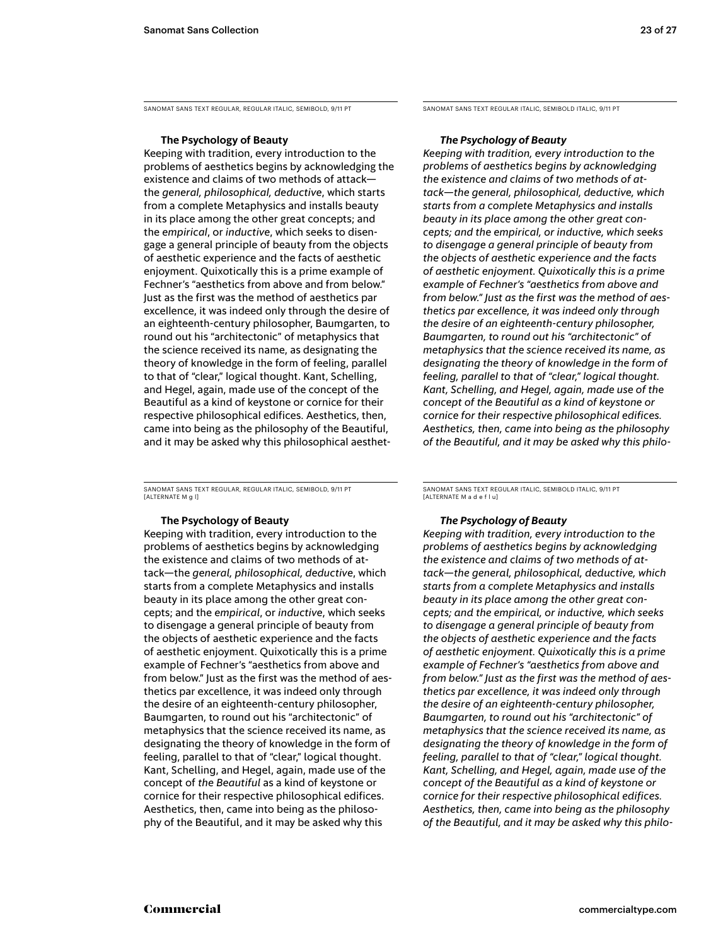Sanomat Sans Text regular, regular Italic, semibold, 9/11 PT

#### **The Psychology of Beauty**

Keeping with tradition, every introduction to the problems of aesthetics begins by acknowledging the existence and claims of two methods of attack the *general, philosophical, deductive*, which starts from a complete Metaphysics and installs beauty in its place among the other great concepts; and the *empirical*, or *inductive*, which seeks to disengage a general principle of beauty from the objects of aesthetic experience and the facts of aesthetic enjoyment. Quixotically this is a prime example of Fechner's "aesthetics from above and from below." Just as the first was the method of aesthetics par excellence, it was indeed only through the desire of an eighteenth-century philosopher, Baumgarten, to round out his "architectonic" of metaphysics that the science received its name, as designating the theory of knowledge in the form of feeling, parallel to that of "clear," logical thought. Kant, Schelling, and Hegel, again, made use of the concept of the Beautiful as a kind of keystone or cornice for their respective philosophical edifices. Aesthetics, then, came into being as the philosophy of the Beautiful, and it may be asked why this philosophical aesthet-

Sanomat Sans Text regular, regular Italic, semibold, 9/11 PT [ALTERNATE M g l]

#### **The Psychology of Beauty**

Keeping with tradition, every introduction to the problems of aesthetics begins by acknowledging the existence and claims of two methods of attack—the *general, philosophical, deductive*, which starts from a complete Metaphysics and installs beauty in its place among the other great concepts; and the *empirical*, or *inductive*, which seeks to disengage a general principle of beauty from the objects of aesthetic experience and the facts of aesthetic enjoyment. Quixotically this is a prime example of Fechner's "aesthetics from above and from below." Just as the first was the method of aesthetics par excellence, it was indeed only through the desire of an eighteenth-century philosopher, Baumgarten, to round out his "architectonic" of metaphysics that the science received its name, as designating the theory of knowledge in the form of feeling, parallel to that of "clear," logical thought. Kant, Schelling, and Hegel, again, made use of the concept of *the Beautiful* as a kind of keystone or cornice for their respective philosophical edifices. Aesthetics, then, came into being as the philosophy of the Beautiful, and it may be asked why this

Sanomat Sans Text regular Italic, semibold italic, 9/11 PT

#### *The Psychology of Beauty*

*Keeping with tradition, every introduction to the problems of aesthetics begins by acknowledging the existence and claims of two methods of attack—the general, philosophical, deductive, which starts from a complete Metaphysics and installs beauty in its place among the other great concepts; and the empirical, or inductive, which seeks to disengage a general principle of beauty from the objects of aesthetic experience and the facts of aesthetic enjoyment. Quixotically this is a prime example of Fechner's "aesthetics from above and from below." Just as the first was the method of aesthetics par excellence, it was indeed only through the desire of an eighteenth-century philosopher, Baumgarten, to round out his "architectonic" of metaphysics that the science received its name, as designating the theory of knowledge in the form of feeling, parallel to that of "clear," logical thought. Kant, Schelling, and Hegel, again, made use of the concept of the Beautiful as a kind of keystone or cornice for their respective philosophical edifices. Aesthetics, then, came into being as the philosophy of the Beautiful, and it may be asked why this philo-*

Sanomat Sans Text regular Italic, semibold italic, 9/11 PT [alternate M a d e f l u]

#### *The Psychology of Beauty*

*Keeping with tradition, every introduction to the problems of aesthetics begins by acknowledging the existence and claims of two methods of attack—the general, philosophical, deductive, which starts from a complete Metaphysics and installs beauty in its place among the other great concepts; and the empirical, or inductive, which seeks to disengage a general principle of beauty from the objects of aesthetic experience and the facts of aesthetic enjoyment. Quixotically this is a prime example of Fechner's "aesthetics from above and from below." Just as the first was the method of aesthetics par excellence, it was indeed only through the desire of an eighteenth-century philosopher, Baumgarten, to round out his "architectonic" of metaphysics that the science received its name, as designating the theory of knowledge in the form of feeling, parallel to that of "clear," logical thought. Kant, Schelling, and Hegel, again, made use of the concept of the Beautiful as a kind of keystone or cornice for their respective philosophical edifices. Aesthetics, then, came into being as the philosophy of the Beautiful, and it may be asked why this philo-*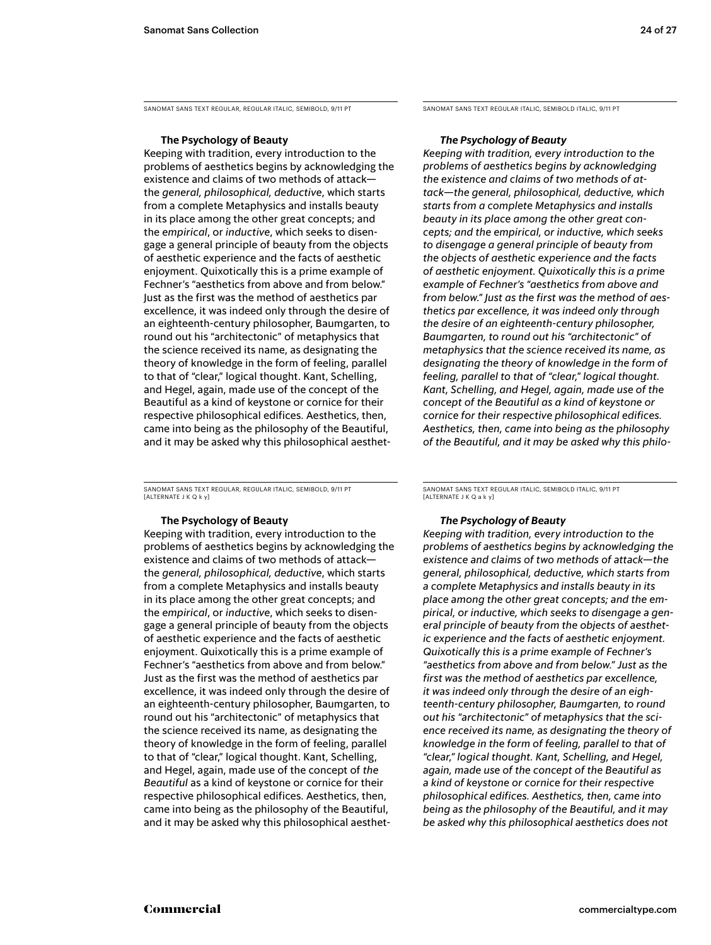Sanomat Sans Text regular, regular Italic, semibold, 9/11 PT

#### **The Psychology of Beauty**

Keeping with tradition, every introduction to the problems of aesthetics begins by acknowledging the existence and claims of two methods of attack the *general, philosophical, deductive*, which starts from a complete Metaphysics and installs beauty in its place among the other great concepts; and the *empirical*, or *inductive*, which seeks to disengage a general principle of beauty from the objects of aesthetic experience and the facts of aesthetic enjoyment. Quixotically this is a prime example of Fechner's "aesthetics from above and from below." Just as the first was the method of aesthetics par excellence, it was indeed only through the desire of an eighteenth-century philosopher, Baumgarten, to round out his "architectonic" of metaphysics that the science received its name, as designating the theory of knowledge in the form of feeling, parallel to that of "clear," logical thought. Kant, Schelling, and Hegel, again, made use of the concept of the Beautiful as a kind of keystone or cornice for their respective philosophical edifices. Aesthetics, then, came into being as the philosophy of the Beautiful, and it may be asked why this philosophical aesthet-

Sanomat Sans Text regular, regular Italic, semibold, 9/11 PT [alternate J k q k y]

#### **The Psychology of Beauty**

Keeping with tradition, every introduction to the problems of aesthetics begins by acknowledging the existence and claims of two methods of attack the *general, philosophical, deductive*, which starts from a complete Metaphysics and installs beauty in its place among the other great concepts; and the *empirical*, or *inductive*, which seeks to disengage a general principle of beauty from the objects of aesthetic experience and the facts of aesthetic enjoyment. Quixotically this is a prime example of Fechner's "aesthetics from above and from below." Just as the first was the method of aesthetics par excellence, it was indeed only through the desire of an eighteenth-century philosopher, Baumgarten, to round out his "architectonic" of metaphysics that the science received its name, as designating the theory of knowledge in the form of feeling, parallel to that of "clear," logical thought. Kant, Schelling, and Hegel, again, made use of the concept of *the Beautiful* as a kind of keystone or cornice for their respective philosophical edifices. Aesthetics, then, came into being as the philosophy of the Beautiful, and it may be asked why this philosophical aesthetSanomat Sans Text regular Italic, semibold italic, 9/11 PT

#### *The Psychology of Beauty*

*Keeping with tradition, every introduction to the problems of aesthetics begins by acknowledging the existence and claims of two methods of attack—the general, philosophical, deductive, which starts from a complete Metaphysics and installs beauty in its place among the other great concepts; and the empirical, or inductive, which seeks to disengage a general principle of beauty from the objects of aesthetic experience and the facts of aesthetic enjoyment. Quixotically this is a prime example of Fechner's "aesthetics from above and from below." Just as the first was the method of aesthetics par excellence, it was indeed only through the desire of an eighteenth-century philosopher, Baumgarten, to round out his "architectonic" of metaphysics that the science received its name, as designating the theory of knowledge in the form of feeling, parallel to that of "clear," logical thought. Kant, Schelling, and Hegel, again, made use of the concept of the Beautiful as a kind of keystone or cornice for their respective philosophical edifices. Aesthetics, then, came into being as the philosophy of the Beautiful, and it may be asked why this philo-*

Sanomat Sans Text regular Italic, semibold italic, 9/11 PT [alternate j k q a k y]

#### *The Psychology of Beauty*

*Keeping with tradition, every introduction to the problems of aesthetics begins by acknowledging the existence and claims of two methods of attack—the general, philosophical, deductive, which starts from a complete Metaphysics and installs beauty in its place among the other great concepts; and the empirical, or inductive, which seeks to disengage a general principle of beauty from the objects of aesthetic experience and the facts of aesthetic enjoyment. Quixotically this is a prime example of Fechner's "aesthetics from above and from below." Just as the first was the method of aesthetics par excellence, it was indeed only through the desire of an eighteenth-century philosopher, Baumgarten, to round out his "architectonic" of metaphysics that the science received its name, as designating the theory of knowledge in the form of feeling, parallel to that of "clear," logical thought. Kant, Schelling, and Hegel, again, made use of the concept of the Beautiful as a kind of keystone or cornice for their respective philosophical edifices. Aesthetics, then, came into being as the philosophy of the Beautiful, and it may be asked why this philosophical aesthetics does not*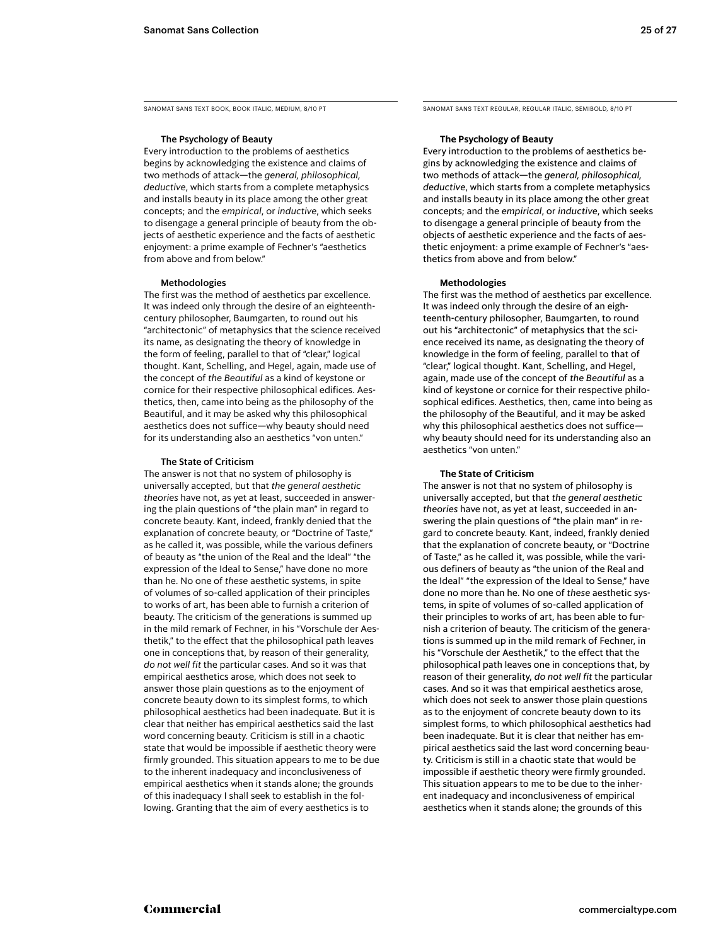Sanomat Sans Text Book, Book Italic, medium, 8/10 PT

#### The Psychology of Beauty

Every introduction to the problems of aesthetics begins by acknowledging the existence and claims of two methods of attack—the *general, philosophical, deductive*, which starts from a complete metaphysics and installs beauty in its place among the other great concepts; and the *empirical*, or *inductive*, which seeks to disengage a general principle of beauty from the objects of aesthetic experience and the facts of aesthetic enjoyment: a prime example of Fechner's "aesthetics from above and from below."

#### Methodologies

The first was the method of aesthetics par excellence. It was indeed only through the desire of an eighteenthcentury philosopher, Baumgarten, to round out his "architectonic" of metaphysics that the science received its name, as designating the theory of knowledge in the form of feeling, parallel to that of "clear," logical thought. Kant, Schelling, and Hegel, again, made use of the concept of *the Beautiful* as a kind of keystone or cornice for their respective philosophical edifices. Aesthetics, then, came into being as the philosophy of the Beautiful, and it may be asked why this philosophical aesthetics does not suffice—why beauty should need for its understanding also an aesthetics "von unten."

#### The State of Criticism

The answer is not that no system of philosophy is universally accepted, but that *the general aesthetic theories* have not, as yet at least, succeeded in answering the plain questions of "the plain man" in regard to concrete beauty. Kant, indeed, frankly denied that the explanation of concrete beauty, or "Doctrine of Taste," as he called it, was possible, while the various definers of beauty as "the union of the Real and the Ideal" "the expression of the Ideal to Sense," have done no more than he. No one of *these* aesthetic systems, in spite of volumes of so-called application of their principles to works of art, has been able to furnish a criterion of beauty. The criticism of the generations is summed up in the mild remark of Fechner, in his "Vorschule der Aesthetik," to the effect that the philosophical path leaves one in conceptions that, by reason of their generality, *do not well fit* the particular cases. And so it was that empirical aesthetics arose, which does not seek to answer those plain questions as to the enjoyment of concrete beauty down to its simplest forms, to which philosophical aesthetics had been inadequate. But it is clear that neither has empirical aesthetics said the last word concerning beauty. Criticism is still in a chaotic state that would be impossible if aesthetic theory were firmly grounded. This situation appears to me to be due to the inherent inadequacy and inconclusiveness of empirical aesthetics when it stands alone; the grounds of this inadequacy I shall seek to establish in the following. Granting that the aim of every aesthetics is to

Sanomat Sans Text Regular, regular Italic, semiBOLD, 8/10 PT

#### **The Psychology of Beauty**

Every introduction to the problems of aesthetics begins by acknowledging the existence and claims of two methods of attack—the *general, philosophical, deductive*, which starts from a complete metaphysics and installs beauty in its place among the other great concepts; and the *empirical*, or *inductive*, which seeks to disengage a general principle of beauty from the objects of aesthetic experience and the facts of aesthetic enjoyment: a prime example of Fechner's "aesthetics from above and from below."

#### **Methodologies**

The first was the method of aesthetics par excellence. It was indeed only through the desire of an eighteenth-century philosopher, Baumgarten, to round out his "architectonic" of metaphysics that the science received its name, as designating the theory of knowledge in the form of feeling, parallel to that of "clear," logical thought. Kant, Schelling, and Hegel, again, made use of the concept of *the Beautiful* as a kind of keystone or cornice for their respective philosophical edifices. Aesthetics, then, came into being as the philosophy of the Beautiful, and it may be asked why this philosophical aesthetics does not suffice why beauty should need for its understanding also an aesthetics "von unten."

#### **The State of Criticism**

The answer is not that no system of philosophy is universally accepted, but that *the general aesthetic theories* have not, as yet at least, succeeded in answering the plain questions of "the plain man" in regard to concrete beauty. Kant, indeed, frankly denied that the explanation of concrete beauty, or "Doctrine of Taste," as he called it, was possible, while the various definers of beauty as "the union of the Real and the Ideal" "the expression of the Ideal to Sense," have done no more than he. No one of *these* aesthetic systems, in spite of volumes of so-called application of their principles to works of art, has been able to furnish a criterion of beauty. The criticism of the generations is summed up in the mild remark of Fechner, in his "Vorschule der Aesthetik," to the effect that the philosophical path leaves one in conceptions that, by reason of their generality, *do not well fit* the particular cases. And so it was that empirical aesthetics arose, which does not seek to answer those plain questions as to the enjoyment of concrete beauty down to its simplest forms, to which philosophical aesthetics had been inadequate. But it is clear that neither has empirical aesthetics said the last word concerning beauty. Criticism is still in a chaotic state that would be impossible if aesthetic theory were firmly grounded. This situation appears to me to be due to the inherent inadequacy and inconclusiveness of empirical aesthetics when it stands alone; the grounds of this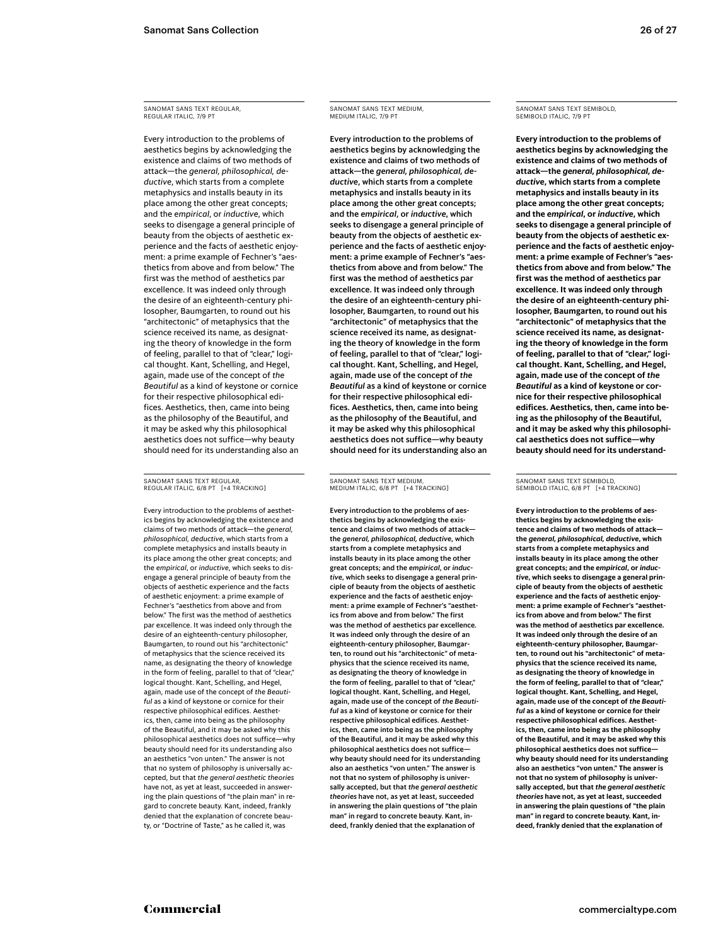#### Sanomat Sans Text Regular, Regular italic, 7/9 PT

Every introduction to the problems of aesthetics begins by acknowledging the existence and claims of two methods of attack—the *general, philosophical, deductive*, which starts from a complete metaphysics and installs beauty in its place among the other great concepts; and the *empirical*, or *inductive*, which seeks to disengage a general principle of beauty from the objects of aesthetic experience and the facts of aesthetic enjoyment: a prime example of Fechner's "aesthetics from above and from below." The first was the method of aesthetics par excellence. It was indeed only through the desire of an eighteenth-century philosopher, Baumgarten, to round out his "architectonic" of metaphysics that the science received its name, as designating the theory of knowledge in the form of feeling, parallel to that of "clear," logical thought. Kant, Schelling, and Hegel, again, made use of the concept of *the Beautiful* as a kind of keystone or cornice for their respective philosophical edifices. Aesthetics, then, came into being as the philosophy of the Beautiful, and it may be asked why this philosophical aesthetics does not suffice—why beauty should need for its understanding also an

SANOMAT SANS TEXT REGULAR Regular italic, 6/8 PT [+4 tracking]

Every introduction to the problems of aesthetics begins by acknowledging the existence and claims of two methods of attack—the *general, philosophical, deductive*, which starts from a complete metaphysics and installs beauty in its place among the other great concepts; and the *empirical*, or *inductive*, which seeks to disengage a general principle of beauty from the objects of aesthetic experience and the facts of aesthetic enjoyment: a prime example of Fechner's "aesthetics from above and from below." The first was the method of aesthetics par excellence. It was indeed only through the desire of an eighteenth-century philosopher, Baumgarten, to round out his "architectonic" of metaphysics that the science received its name, as designating the theory of knowledge in the form of feeling, parallel to that of "clear," logical thought. Kant, Schelling, and Hegel, again, made use of the concept of *the Beautiful* as a kind of keystone or cornice for their respective philosophical edifices. Aesthetics, then, came into being as the philosophy of the Beautiful, and it may be asked why this philosophical aesthetics does not suffice—why beauty should need for its understanding also an aesthetics "von unten." The answer is not that no system of philosophy is universally accepted, but that *the general aesthetic theories*  have not, as yet at least, succeeded in answering the plain questions of "the plain man" in regard to concrete beauty. Kant, indeed, frankly denied that the explanation of concrete beauty, or "Doctrine of Taste," as he called it, was

#### Sanomat Sans Text medium, medium italic, 7/9 PT

Every introduction to the problems of aesthetics begins by acknowledging the existence and claims of two methods of attack—the *general, philosophical, deductive*, which starts from a complete metaphysics and installs beauty in its place among the other great concepts; and the *empirical*, or *inductive*, which seeks to disengage a general principle of beauty from the objects of aesthetic experience and the facts of aesthetic enjoyment: a prime example of Fechner's "aesthetics from above and from below." The first was the method of aesthetics par excellence. It was indeed only through the desire of an eighteenth-century philosopher, Baumgarten, to round out his "architectonic" of metaphysics that the science received its name, as designating the theory of knowledge in the form of feeling, parallel to that of "clear," logical thought. Kant, Schelling, and Hegel, again, made use of the concept of *the Beautiful* as a kind of keystone or cornice for their respective philosophical edifices. Aesthetics, then, came into being as the philosophy of the Beautiful, and it may be asked why this philosophical aesthetics does not suffice—why beauty should need for its understanding also an

Sanomat Sans Text medium, medium italic, 6/8 PT [+4 tracking]

Every introduction to the problems of aesthetics begins by acknowledging the existence and claims of two methods of attack the *general, philosophical, deductive*, which starts from a complete metaphysics and installs beauty in its place among the other great concepts; and the *empirical*, or *inductive*, which seeks to disengage a general principle of beauty from the objects of aesthetic experience and the facts of aesthetic enjoyment: a prime example of Fechner's "aesthetics from above and from below." The first was the method of aesthetics par excellence. It was indeed only through the desire of an eighteenth-century philosopher, Baumgarten, to round out his "architectonic" of metaphysics that the science received its name, as designating the theory of knowledge in the form of feeling, parallel to that of "clear," logical thought. Kant, Schelling, and Hegel, again, made use of the concept of *the Beautiful* as a kind of keystone or cornice for their respective philosophical edifices. Aesthetics, then, came into being as the philosophy of the Beautiful, and it may be asked why this philosophical aesthetics does not suffice why beauty should need for its understanding also an aesthetics "von unten." The answer is not that no system of philosophy is universally accepted, but that *the general aesthetic theories* have not, as yet at least, succeeded in answering the plain questions of "the plain man" in regard to concrete beauty. Kant, indeed, frankly denied that the explanation of

#### Sanomat Sans Text semibold, semibold italic, 7/9 PT

**Every introduction to the problems of aesthetics begins by acknowledging the existence and claims of two methods of attack—the** *general, philosophical, deductive***, which starts from a complete metaphysics and installs beauty in its place among the other great concepts; and the** *empirical***, or** *inductive***, which seeks to disengage a general principle of beauty from the objects of aesthetic experience and the facts of aesthetic enjoyment: a prime example of Fechner's "aesthetics from above and from below." The first was the method of aesthetics par excellence. It was indeed only through the desire of an eighteenth-century philosopher, Baumgarten, to round out his "architectonic" of metaphysics that the science received its name, as designating the theory of knowledge in the form of feeling, parallel to that of "clear," logical thought. Kant, Schelling, and Hegel, again, made use of the concept of** *the Beautiful* **as a kind of keystone or cornice for their respective philosophical edifices. Aesthetics, then, came into being as the philosophy of the Beautiful, and it may be asked why this philosophical aesthetics does not suffice—why beauty should need for its understand-**

SANOMAT SANS TEXT SEMIBOLD. SEMIBOLD ITALIC, 6/8 PT [+4 TRACKING]

**Every introduction to the problems of aesthetics begins by acknowledging the existence and claims of two methods of attack the** *general, philosophical, deductive***, which starts from a complete metaphysics and installs beauty in its place among the other great concepts; and the** *empirical***, or** *inductive***, which seeks to disengage a general principle of beauty from the objects of aesthetic experience and the facts of aesthetic enjoyment: a prime example of Fechner's "aesthetics from above and from below." The first was the method of aesthetics par excellence. It was indeed only through the desire of an eighteenth-century philosopher, Baumgarten, to round out his "architectonic" of metaphysics that the science received its name, as designating the theory of knowledge in the form of feeling, parallel to that of "clear," logical thought. Kant, Schelling, and Hegel, again, made use of the concept of** *the Beautiful* **as a kind of keystone or cornice for their respective philosophical edifices. Aesthetics, then, came into being as the philosophy of the Beautiful, and it may be asked why this philosophical aesthetics does not suffice why beauty should need for its understanding also an aesthetics "von unten." The answer is not that no system of philosophy is universally accepted, but that** *the general aesthetic theories* **have not, as yet at least, succeeded in answering the plain questions of "the plain man" in regard to concrete beauty. Kant, indeed, frankly denied that the explanation of**